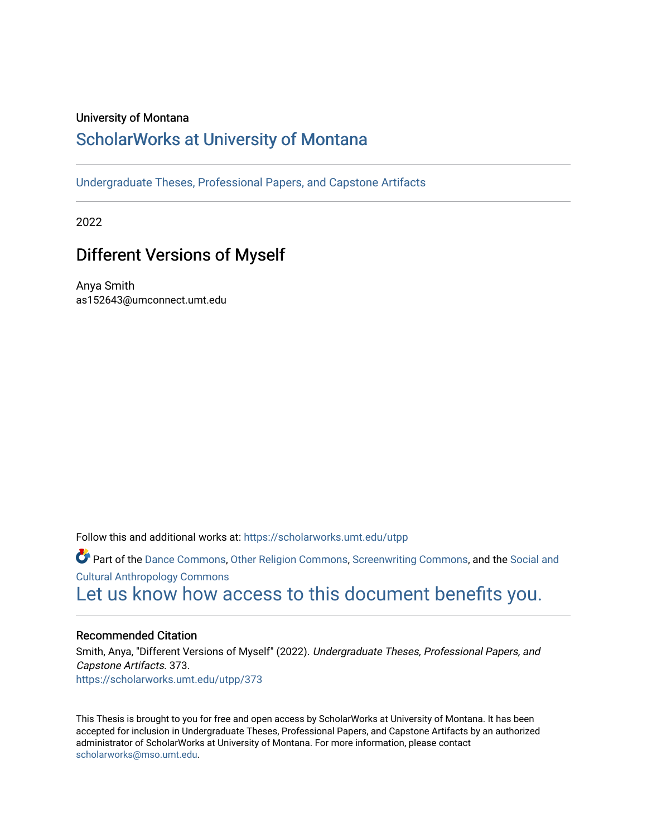## University of Montana

# [ScholarWorks at University of Montana](https://scholarworks.umt.edu/)

[Undergraduate Theses, Professional Papers, and Capstone Artifacts](https://scholarworks.umt.edu/utpp)

2022

# Different Versions of Myself

Anya Smith as152643@umconnect.umt.edu

Follow this and additional works at: [https://scholarworks.umt.edu/utpp](https://scholarworks.umt.edu/utpp?utm_source=scholarworks.umt.edu%2Futpp%2F373&utm_medium=PDF&utm_campaign=PDFCoverPages)

Part of the [Dance Commons,](http://network.bepress.com/hgg/discipline/554?utm_source=scholarworks.umt.edu%2Futpp%2F373&utm_medium=PDF&utm_campaign=PDFCoverPages) [Other Religion Commons](http://network.bepress.com/hgg/discipline/545?utm_source=scholarworks.umt.edu%2Futpp%2F373&utm_medium=PDF&utm_campaign=PDFCoverPages), [Screenwriting Commons](http://network.bepress.com/hgg/discipline/1291?utm_source=scholarworks.umt.edu%2Futpp%2F373&utm_medium=PDF&utm_campaign=PDFCoverPages), and the [Social and](http://network.bepress.com/hgg/discipline/323?utm_source=scholarworks.umt.edu%2Futpp%2F373&utm_medium=PDF&utm_campaign=PDFCoverPages) [Cultural Anthropology Commons](http://network.bepress.com/hgg/discipline/323?utm_source=scholarworks.umt.edu%2Futpp%2F373&utm_medium=PDF&utm_campaign=PDFCoverPages)  [Let us know how access to this document benefits you.](https://goo.gl/forms/s2rGfXOLzz71qgsB2) 

## Recommended Citation

Smith, Anya, "Different Versions of Myself" (2022). Undergraduate Theses, Professional Papers, and Capstone Artifacts. 373. [https://scholarworks.umt.edu/utpp/373](https://scholarworks.umt.edu/utpp/373?utm_source=scholarworks.umt.edu%2Futpp%2F373&utm_medium=PDF&utm_campaign=PDFCoverPages)

This Thesis is brought to you for free and open access by ScholarWorks at University of Montana. It has been accepted for inclusion in Undergraduate Theses, Professional Papers, and Capstone Artifacts by an authorized administrator of ScholarWorks at University of Montana. For more information, please contact [scholarworks@mso.umt.edu.](mailto:scholarworks@mso.umt.edu)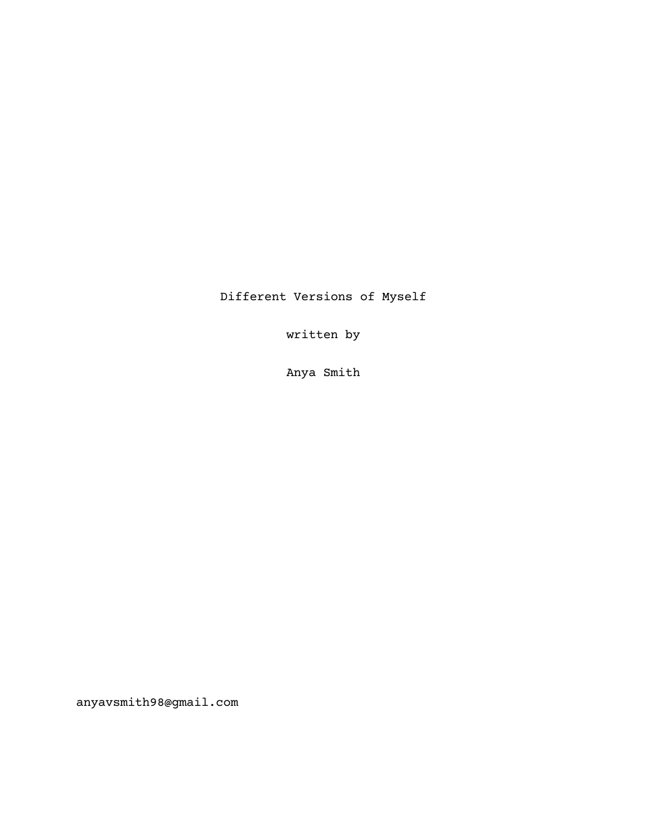Different Versions of Myself

written by

Anya Smith

anyavsmith98@gmail.com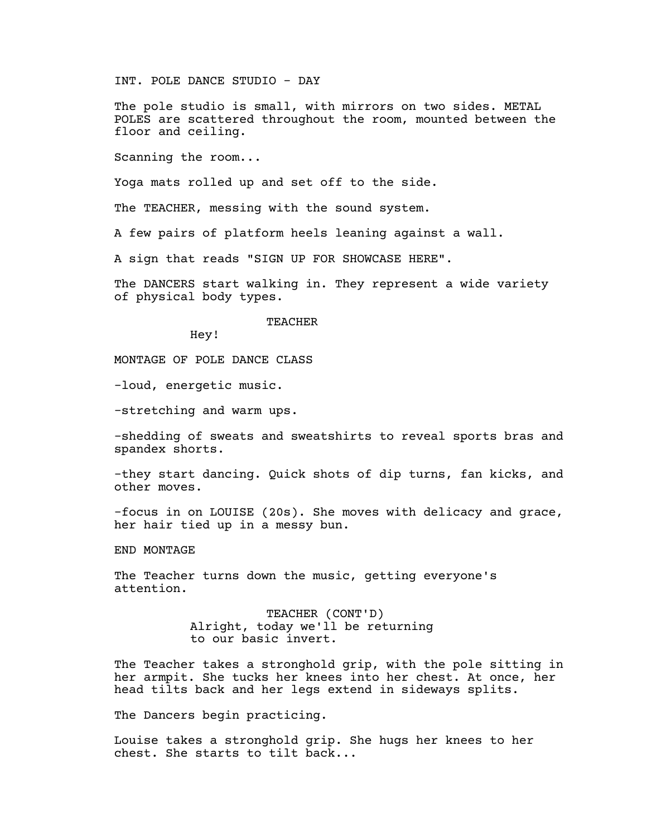INT. POLE DANCE STUDIO - DAY

The pole studio is small, with mirrors on two sides. METAL POLES are scattered throughout the room, mounted between the floor and ceiling.

Scanning the room...

Yoga mats rolled up and set off to the side.

The TEACHER, messing with the sound system.

A few pairs of platform heels leaning against a wall.

A sign that reads "SIGN UP FOR SHOWCASE HERE".

The DANCERS start walking in. They represent a wide variety of physical body types.

#### TEACHER

Hey!

MONTAGE OF POLE DANCE CLASS

-loud, energetic music.

-stretching and warm ups.

-shedding of sweats and sweatshirts to reveal sports bras and spandex shorts.

-they start dancing. Quick shots of dip turns, fan kicks, and other moves.

-focus in on LOUISE (20s). She moves with delicacy and grace, her hair tied up in a messy bun.

END MONTAGE

The Teacher turns down the music, getting everyone's attention.

> TEACHER (CONT'D) Alright, today we'll be returning to our basic invert.

The Teacher takes a stronghold grip, with the pole sitting in her armpit. She tucks her knees into her chest. At once, her head tilts back and her legs extend in sideways splits.

The Dancers begin practicing.

Louise takes a stronghold grip. She hugs her knees to her chest. She starts to tilt back...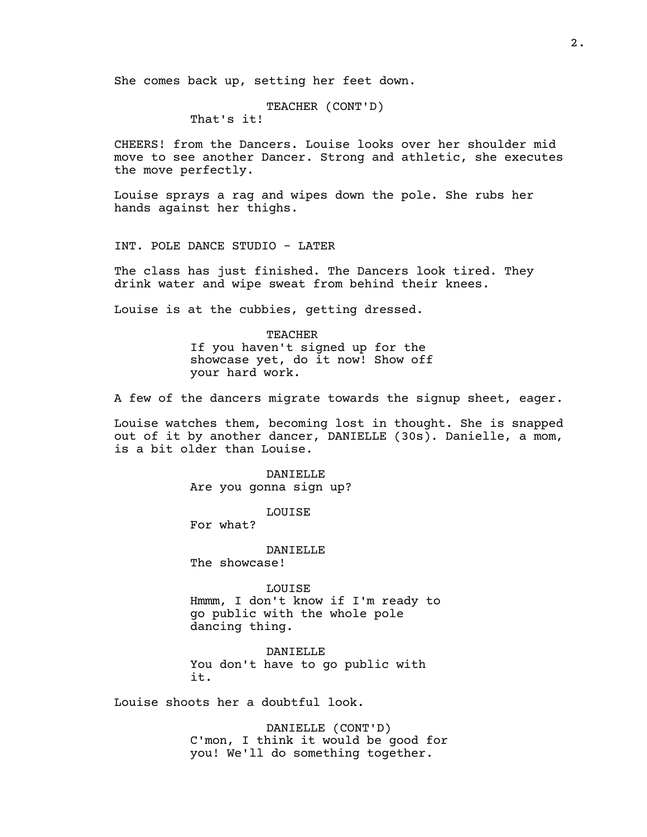She comes back up, setting her feet down.

TEACHER (CONT'D) That's it!

CHEERS! from the Dancers. Louise looks over her shoulder mid move to see another Dancer. Strong and athletic, she executes the move perfectly.

Louise sprays a rag and wipes down the pole. She rubs her hands against her thighs.

INT. POLE DANCE STUDIO - LATER

The class has just finished. The Dancers look tired. They drink water and wipe sweat from behind their knees.

Louise is at the cubbies, getting dressed.

TEACHER If you haven't signed up for the showcase yet, do it now! Show off your hard work.

A few of the dancers migrate towards the signup sheet, eager.

Louise watches them, becoming lost in thought. She is snapped out of it by another dancer, DANIELLE (30s). Danielle, a mom, is a bit older than Louise.

> DANIELLE Are you gonna sign up?

> > LOUISE

For what?

DANIELLE

The showcase!

LOUISE Hmmm, I don't know if I'm ready to go public with the whole pole dancing thing.

DANIELLE You don't have to go public with it.

Louise shoots her a doubtful look.

DANIELLE (CONT'D) C'mon, I think it would be good for you! We'll do something together.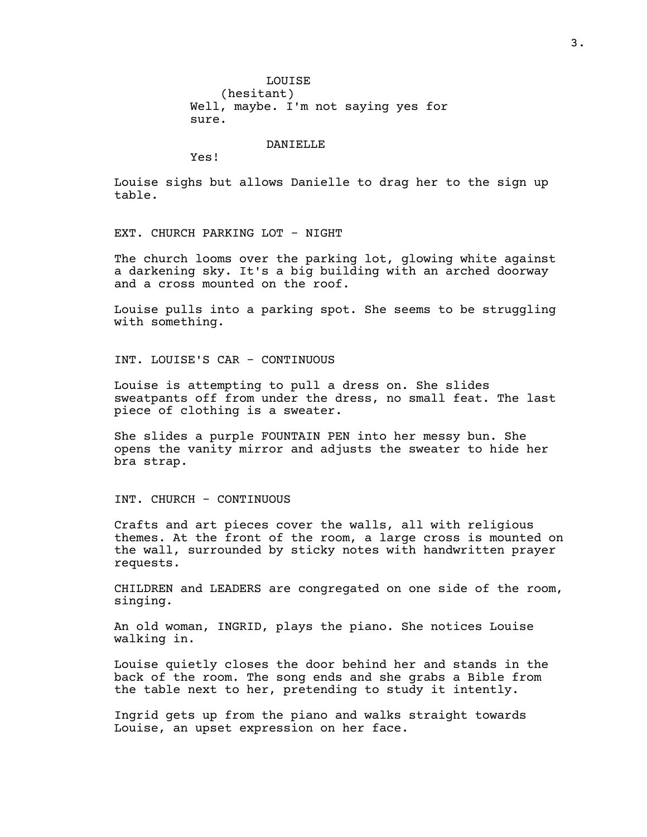LOUISE (hesitant) Well, maybe. I'm not saying yes for sure.

DANIELLE

Yes!

Louise sighs but allows Danielle to drag her to the sign up table.

EXT. CHURCH PARKING LOT - NIGHT

The church looms over the parking lot, glowing white against a darkening sky. It's a big building with an arched doorway and a cross mounted on the roof.

Louise pulls into a parking spot. She seems to be struggling with something.

INT. LOUISE'S CAR - CONTINUOUS

Louise is attempting to pull a dress on. She slides sweatpants off from under the dress, no small feat. The last piece of clothing is a sweater.

She slides a purple FOUNTAIN PEN into her messy bun. She opens the vanity mirror and adjusts the sweater to hide her bra strap.

INT. CHURCH - CONTINUOUS

Crafts and art pieces cover the walls, all with religious themes. At the front of the room, a large cross is mounted on the wall, surrounded by sticky notes with handwritten prayer requests.

CHILDREN and LEADERS are congregated on one side of the room, singing.

An old woman, INGRID, plays the piano. She notices Louise walking in.

Louise quietly closes the door behind her and stands in the back of the room. The song ends and she grabs a Bible from the table next to her, pretending to study it intently.

Ingrid gets up from the piano and walks straight towards Louise, an upset expression on her face.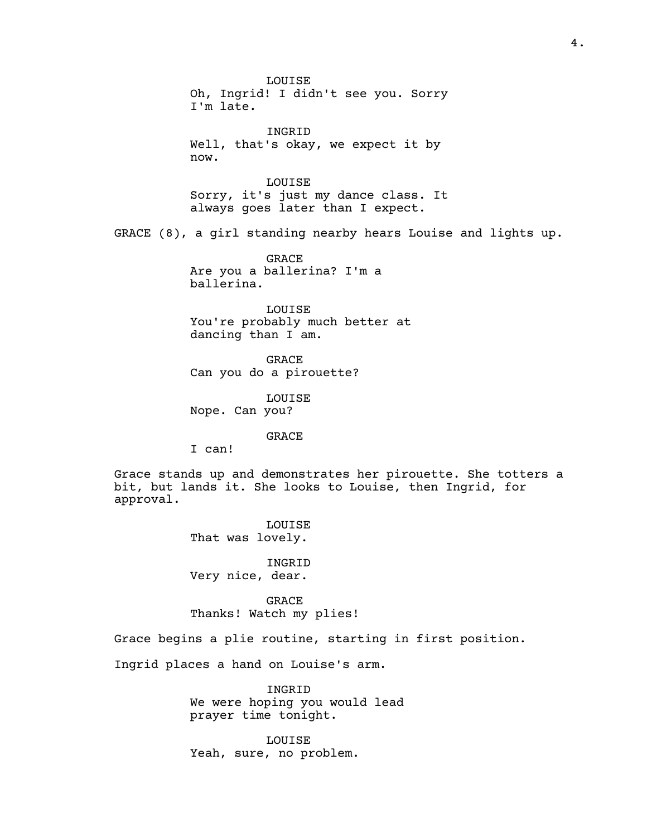LOUISE Oh, Ingrid! I didn't see you. Sorry I'm late. INGRID Well, that's okay, we expect it by now. LOUISE Sorry, it's just my dance class. It always goes later than I expect. GRACE (8), a girl standing nearby hears Louise and lights up. GRACE Are you a ballerina? I'm a ballerina. LOUISE You're probably much better at dancing than I am. GRACE Can you do a pirouette? LOUISE Nope. Can you? GRACE I can! Grace stands up and demonstrates her pirouette. She totters a bit, but lands it. She looks to Louise, then Ingrid, for approval. LOUISE That was lovely. INGRID Very nice, dear. GRACE Thanks! Watch my plies! Grace begins a plie routine, starting in first position. Ingrid places a hand on Louise's arm. INGRID

We were hoping you would lead prayer time tonight.

LOUISE Yeah, sure, no problem.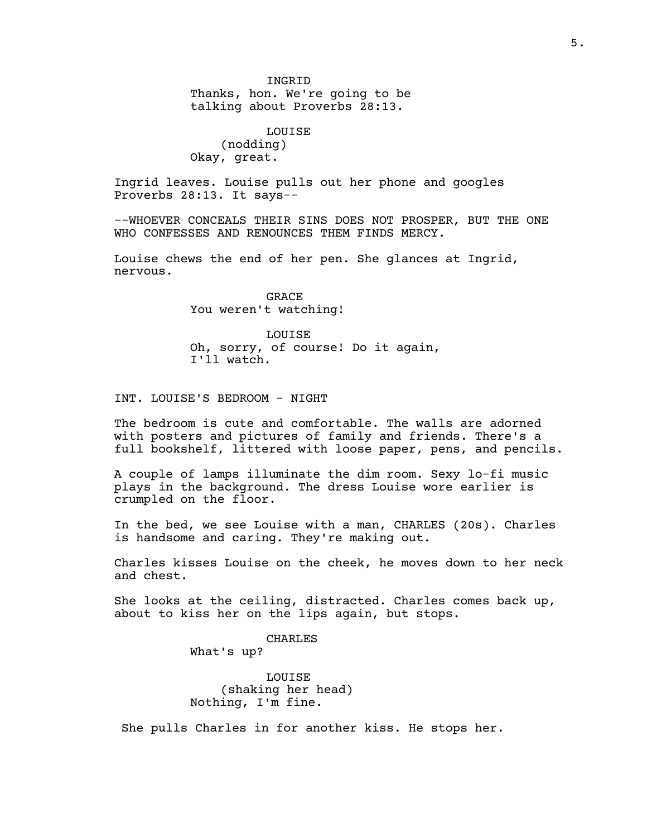INGRID

Thanks, hon. We're going to be talking about Proverbs 28:13.

LOUISE (nodding) Okay, great.

Ingrid leaves. Louise pulls out her phone and googles Proverbs 28:13. It says--

--WHOEVER CONCEALS THEIR SINS DOES NOT PROSPER, BUT THE ONE WHO CONFESSES AND RENOUNCES THEM FINDS MERCY.

Louise chews the end of her pen. She glances at Ingrid, nervous.

> GRACE You weren't watching!

LOUISE Oh, sorry, of course! Do it again, I'll watch.

INT. LOUISE'S BEDROOM - NIGHT

The bedroom is cute and comfortable. The walls are adorned with posters and pictures of family and friends. There's a full bookshelf, littered with loose paper, pens, and pencils.

A couple of lamps illuminate the dim room. Sexy lo-fi music plays in the background. The dress Louise wore earlier is crumpled on the floor.

In the bed, we see Louise with a man, CHARLES (20s). Charles is handsome and caring. They're making out.

Charles kisses Louise on the cheek, he moves down to her neck and chest.

She looks at the ceiling, distracted. Charles comes back up, about to kiss her on the lips again, but stops.

CHARLES

What's up?

LOUISE (shaking her head) Nothing, I'm fine.

She pulls Charles in for another kiss. He stops her.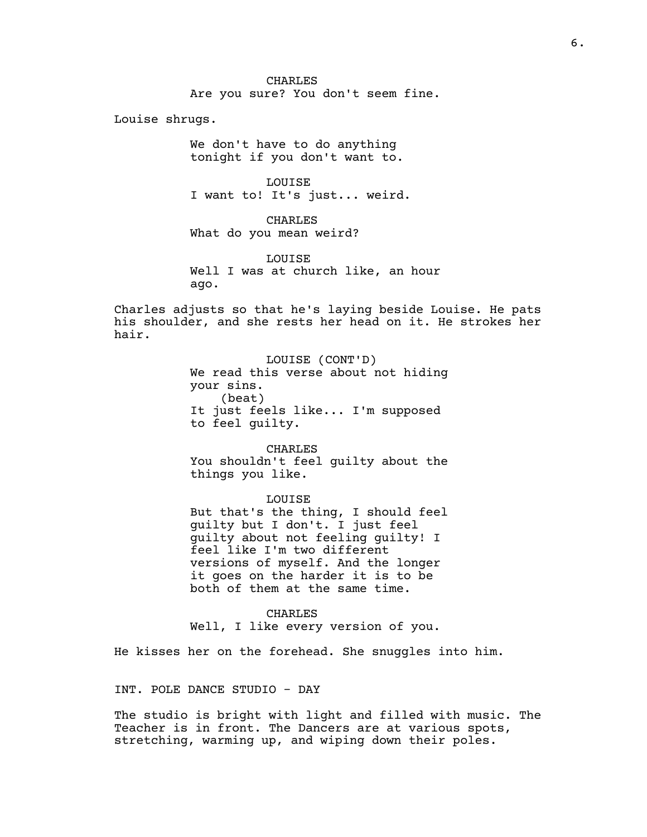CHARLES Are you sure? You don't seem fine.

Louise shrugs.

We don't have to do anything tonight if you don't want to.

LOUISE I want to! It's just... weird.

CHARLES What do you mean weird?

LOUISE Well I was at church like, an hour ago.

Charles adjusts so that he's laying beside Louise. He pats his shoulder, and she rests her head on it. He strokes her hair.

> LOUISE (CONT'D) We read this verse about not hiding your sins. (beat) It just feels like... I'm supposed to feel guilty.

> CHARLES You shouldn't feel guilty about the things you like.

> > LOUISE

But that's the thing, I should feel guilty but I don't. I just feel guilty about not feeling guilty! I feel like I'm two different versions of myself. And the longer it goes on the harder it is to be both of them at the same time.

CHARLES Well, I like every version of you.

He kisses her on the forehead. She snuggles into him.

INT. POLE DANCE STUDIO - DAY

The studio is bright with light and filled with music. The Teacher is in front. The Dancers are at various spots, stretching, warming up, and wiping down their poles.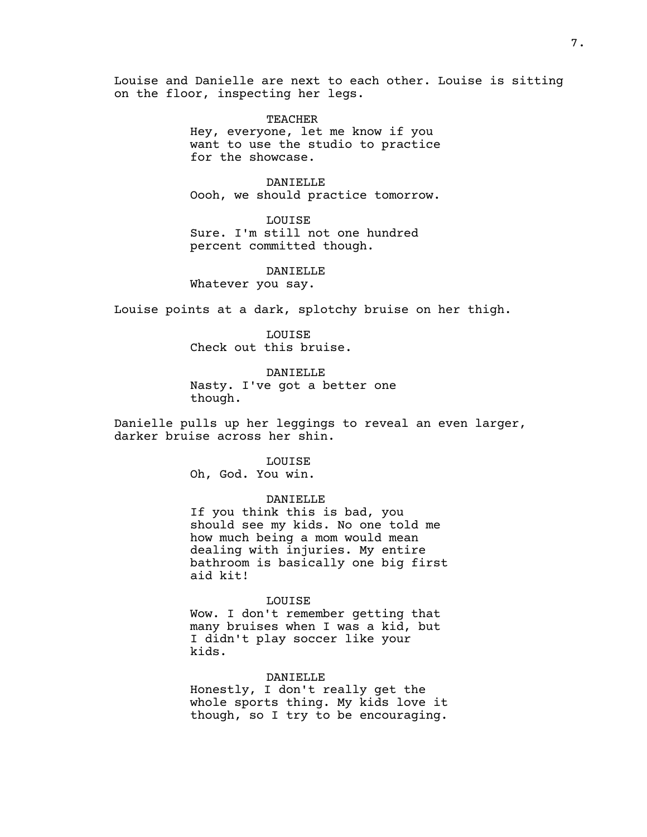Louise and Danielle are next to each other. Louise is sitting on the floor, inspecting her legs.

> TEACHER Hey, everyone, let me know if you want to use the studio to practice for the showcase.

> DANIELLE Oooh, we should practice tomorrow.

LOUISE Sure. I'm still not one hundred percent committed though.

## DANIELLE

Whatever you say.

Louise points at a dark, splotchy bruise on her thigh.

LOUISE Check out this bruise.

DANIELLE Nasty. I've got a better one though.

Danielle pulls up her leggings to reveal an even larger, darker bruise across her shin.

> LOUISE Oh, God. You win.

## DANIELLE

If you think this is bad, you should see my kids. No one told me how much being a mom would mean dealing with injuries. My entire bathroom is basically one big first aid kit!

## LOUISE

Wow. I don't remember getting that many bruises when I was a kid, but I didn't play soccer like your kids.

## DANIELLE

Honestly, I don't really get the whole sports thing. My kids love it though, so I try to be encouraging.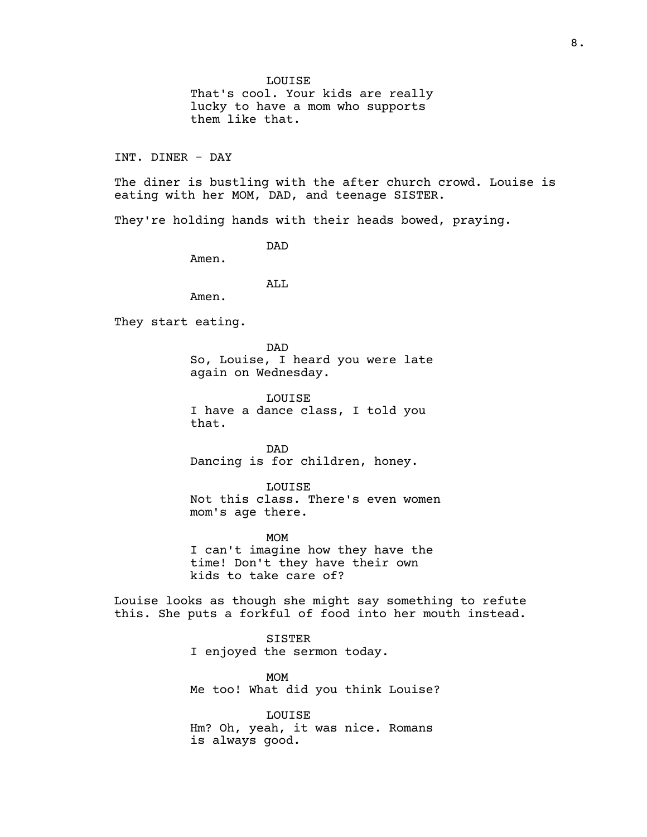LOUISE

That's cool. Your kids are really lucky to have a mom who supports them like that.

INT. DINER - DAY

The diner is bustling with the after church crowd. Louise is eating with her MOM, DAD, and teenage SISTER.

They're holding hands with their heads bowed, praying.

DAD

Amen.

ALL

Amen.

They start eating.

DAD So, Louise, I heard you were late again on Wednesday.

LOUISE I have a dance class, I told you that.

DAD Dancing is for children, honey.

LOUISE Not this class. There's even women mom's age there.

MOM I can't imagine how they have the time! Don't they have their own kids to take care of?

Louise looks as though she might say something to refute this. She puts a forkful of food into her mouth instead.

> SISTER I enjoyed the sermon today.

MOM Me too! What did you think Louise?

LOUISE Hm? Oh, yeah, it was nice. Romans is always good.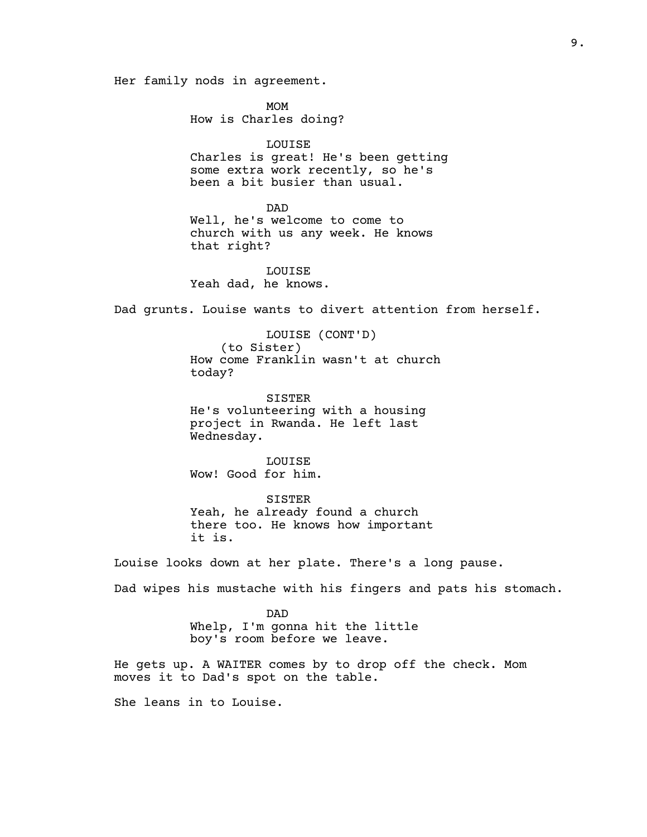Her family nods in agreement.

MOM How is Charles doing?

#### LOUISE

Charles is great! He's been getting some extra work recently, so he's been a bit busier than usual.

#### DAD

Well, he's welcome to come to church with us any week. He knows that right?

## LOUISE

Yeah dad, he knows.

Dad grunts. Louise wants to divert attention from herself.

LOUISE (CONT'D) (to Sister) How come Franklin wasn't at church today?

SISTER He's volunteering with a housing project in Rwanda. He left last Wednesday.

LOUISE Wow! Good for him.

SISTER Yeah, he already found a church there too. He knows how important it is.

Louise looks down at her plate. There's a long pause.

Dad wipes his mustache with his fingers and pats his stomach.

DAD Whelp, I'm gonna hit the little boy's room before we leave.

He gets up. A WAITER comes by to drop off the check. Mom moves it to Dad's spot on the table.

She leans in to Louise.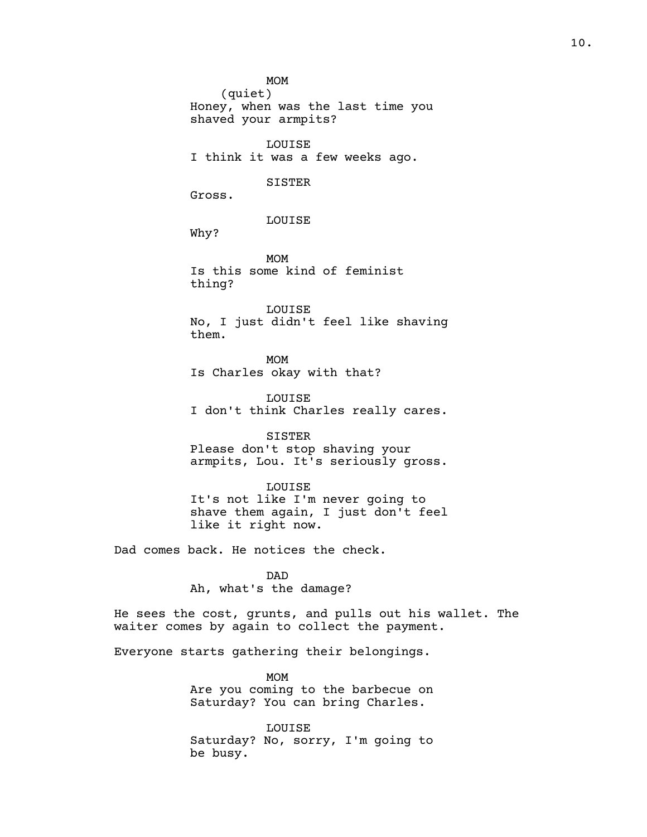MOM

(quiet) Honey, when was the last time you shaved your armpits?

LOUISE I think it was a few weeks ago.

#### SISTER

Gross.

LOUISE

Why?

MOM Is this some kind of feminist thing?

LOUISE No, I just didn't feel like shaving them.

MOM Is Charles okay with that?

LOUISE I don't think Charles really cares.

## SISTER

Please don't stop shaving your armpits, Lou. It's seriously gross.

### LOUISE

It's not like I'm never going to shave them again, I just don't feel like it right now.

Dad comes back. He notices the check.

DAD Ah, what's the damage?

He sees the cost, grunts, and pulls out his wallet. The waiter comes by again to collect the payment.

Everyone starts gathering their belongings.

MOM Are you coming to the barbecue on Saturday? You can bring Charles.

LOUISE Saturday? No, sorry, I'm going to be busy.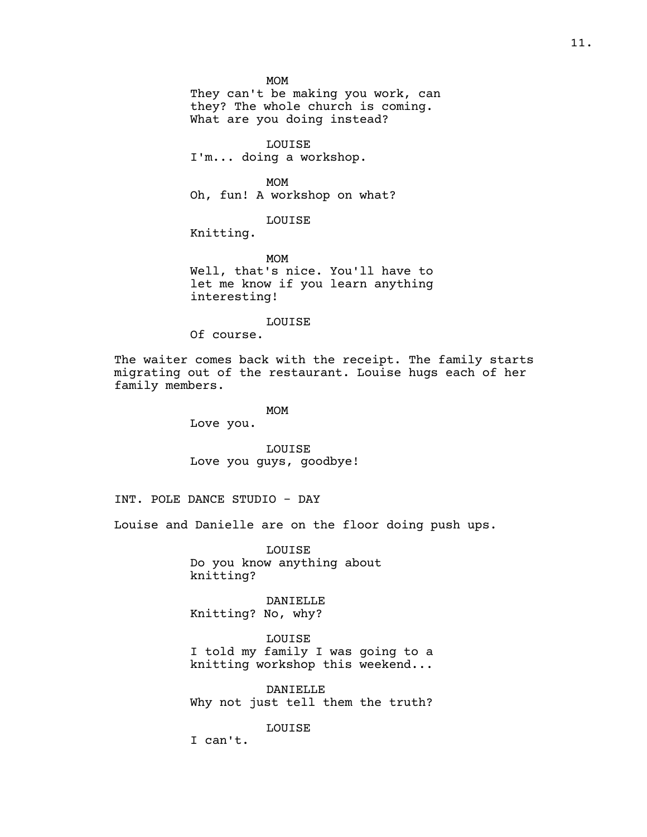MOM

They can't be making you work, can they? The whole church is coming. What are you doing instead?

LOUISE I'm... doing a workshop.

MOM

Oh, fun! A workshop on what?

LOUISE

Knitting.

MOM Well, that's nice. You'll have to let me know if you learn anything interesting!

#### LOUISE

Of course.

The waiter comes back with the receipt. The family starts migrating out of the restaurant. Louise hugs each of her family members.

> MOM Love you.

LOUISE Love you guys, goodbye!

INT. POLE DANCE STUDIO - DAY

Louise and Danielle are on the floor doing push ups.

LOUISE Do you know anything about knitting?

DANIELLE Knitting? No, why?

LOUISE I told my family I was going to a knitting workshop this weekend...

DANIELLE Why not just tell them the truth?

LOUISE

I can't.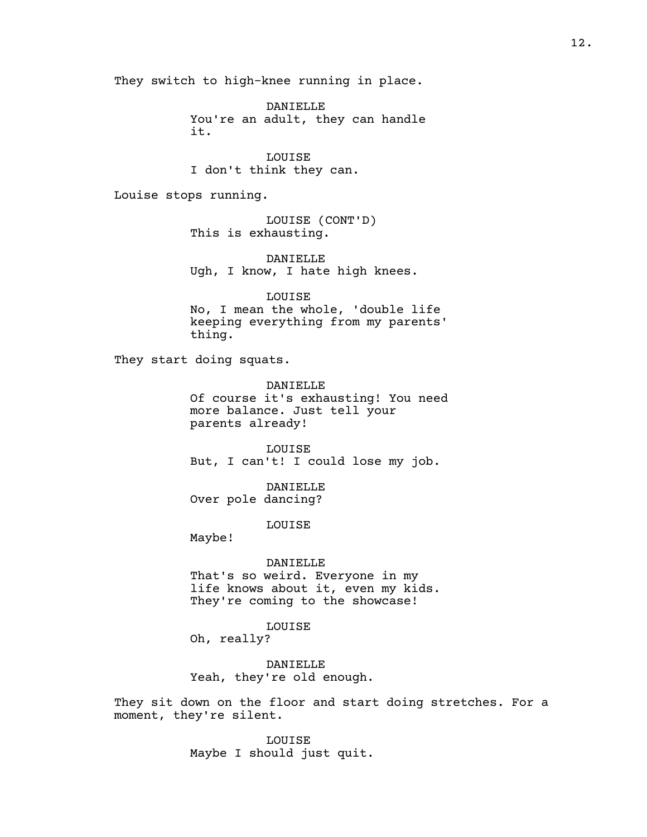They switch to high-knee running in place.

DANIELLE You're an adult, they can handle it.

LOUISE I don't think they can.

Louise stops running.

LOUISE (CONT'D) This is exhausting.

DANIELLE Ugh, I know, I hate high knees.

LOUISE No, I mean the whole, 'double life keeping everything from my parents' thing.

They start doing squats.

DANIELLE Of course it's exhausting! You need more balance. Just tell your parents already!

LOUISE But, I can't! I could lose my job.

DANIELLE Over pole dancing?

LOUISE

Maybe!

#### DANIELLE

That's so weird. Everyone in my life knows about it, even my kids. They're coming to the showcase!

LOUISE

Oh, really?

DANIELLE Yeah, they're old enough.

They sit down on the floor and start doing stretches. For a moment, they're silent.

> LOUISE Maybe I should just quit.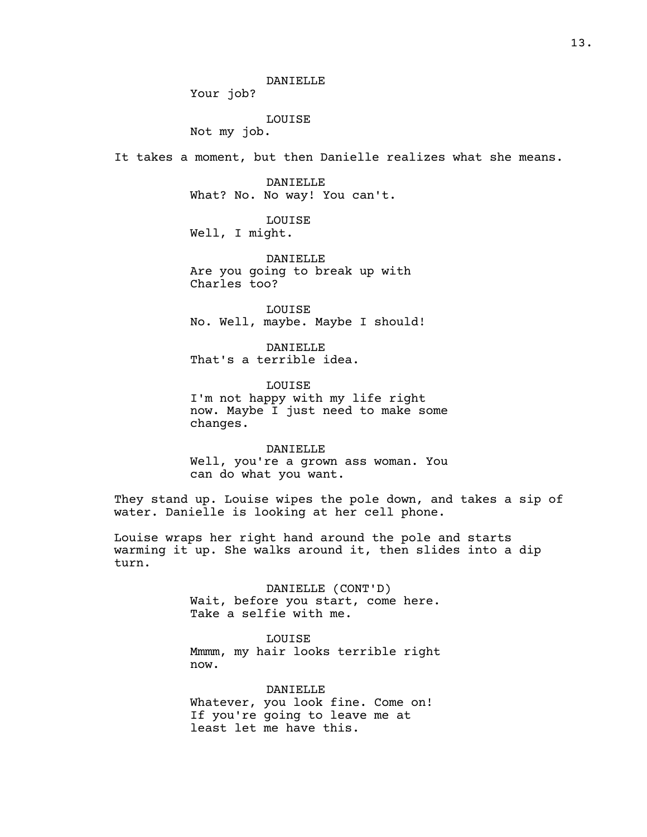#### DANIELLE

Your job?

LOUISE

Not my job.

It takes a moment, but then Danielle realizes what she means.

DANIELLE What? No. No way! You can't.

LOUISE

Well, I might.

DANIELLE Are you going to break up with Charles too?

LOUISE No. Well, maybe. Maybe I should!

DANIELLE That's a terrible idea.

LOUISE I'm not happy with my life right now. Maybe I just need to make some changes.

DANIELLE Well, you're a grown ass woman. You can do what you want.

They stand up. Louise wipes the pole down, and takes a sip of water. Danielle is looking at her cell phone.

Louise wraps her right hand around the pole and starts warming it up. She walks around it, then slides into a dip turn.

> DANIELLE (CONT'D) Wait, before you start, come here. Take a selfie with me.

> > LOUISE

Mmmm, my hair looks terrible right now.

DANIELLE Whatever, you look fine. Come on! If you're going to leave me at least let me have this.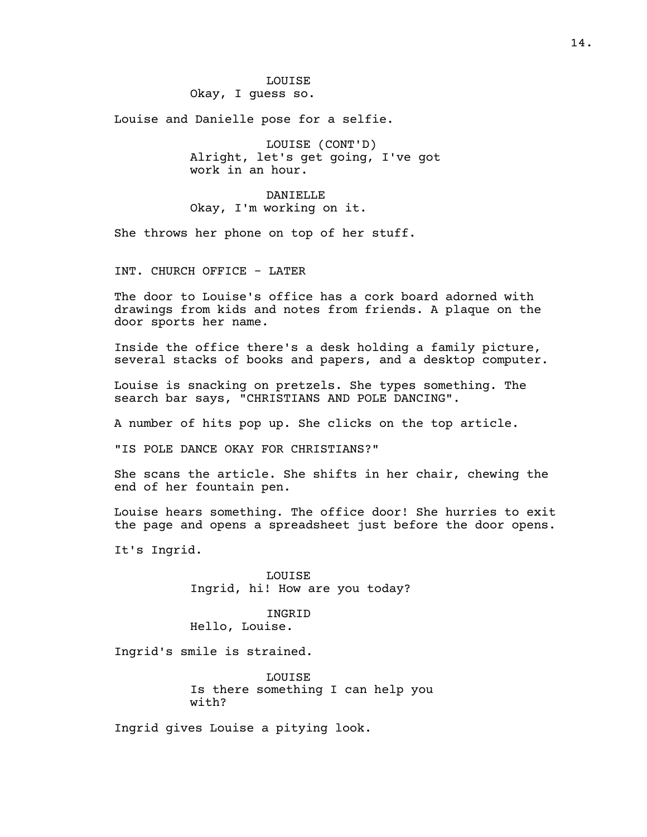Louise and Danielle pose for a selfie.

LOUISE (CONT'D) Alright, let's get going, I've got work in an hour.

DANIELLE Okay, I'm working on it.

She throws her phone on top of her stuff.

INT. CHURCH OFFICE - LATER

The door to Louise's office has a cork board adorned with drawings from kids and notes from friends. A plaque on the door sports her name.

Inside the office there's a desk holding a family picture, several stacks of books and papers, and a desktop computer.

Louise is snacking on pretzels. She types something. The search bar says, "CHRISTIANS AND POLE DANCING".

A number of hits pop up. She clicks on the top article.

"IS POLE DANCE OKAY FOR CHRISTIANS?"

She scans the article. She shifts in her chair, chewing the end of her fountain pen.

Louise hears something. The office door! She hurries to exit the page and opens a spreadsheet just before the door opens.

It's Ingrid.

LOUISE Ingrid, hi! How are you today?

INGRID Hello, Louise.

Ingrid's smile is strained.

LOUISE Is there something I can help you with?

Ingrid gives Louise a pitying look.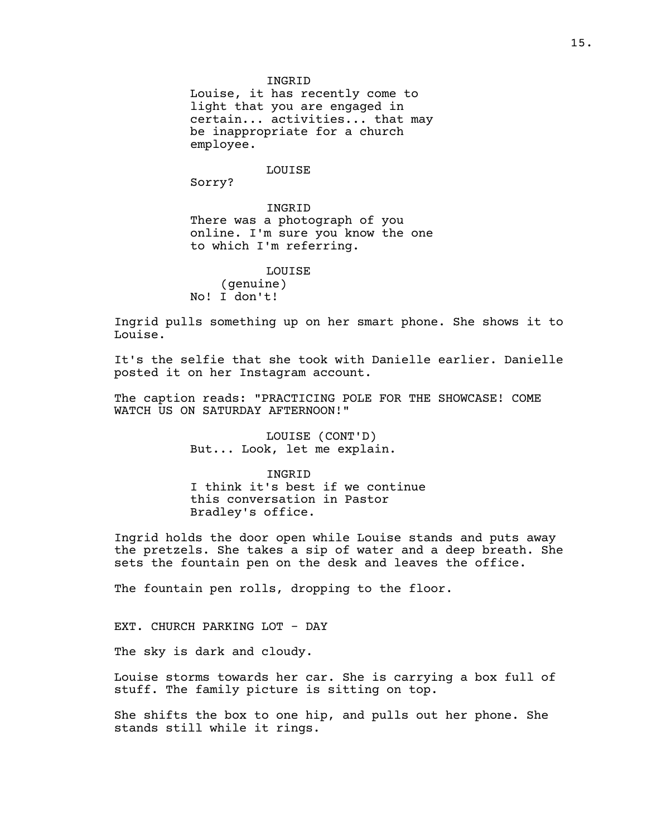#### INGRID

Louise, it has recently come to light that you are engaged in certain... activities... that may be inappropriate for a church employee.

#### LOUISE

Sorry?

INGRID There was a photograph of you online. I'm sure you know the one to which I'm referring.

#### LOUISE

(genuine) No! I don't!

Ingrid pulls something up on her smart phone. She shows it to Louise.

It's the selfie that she took with Danielle earlier. Danielle posted it on her Instagram account.

The caption reads: "PRACTICING POLE FOR THE SHOWCASE! COME WATCH US ON SATURDAY AFTERNOON!"

> LOUISE (CONT'D) But... Look, let me explain.

INGRID I think it's best if we continue this conversation in Pastor Bradley's office.

Ingrid holds the door open while Louise stands and puts away the pretzels. She takes a sip of water and a deep breath. She sets the fountain pen on the desk and leaves the office.

The fountain pen rolls, dropping to the floor.

EXT. CHURCH PARKING LOT - DAY

The sky is dark and cloudy.

Louise storms towards her car. She is carrying a box full of stuff. The family picture is sitting on top.

She shifts the box to one hip, and pulls out her phone. She stands still while it rings.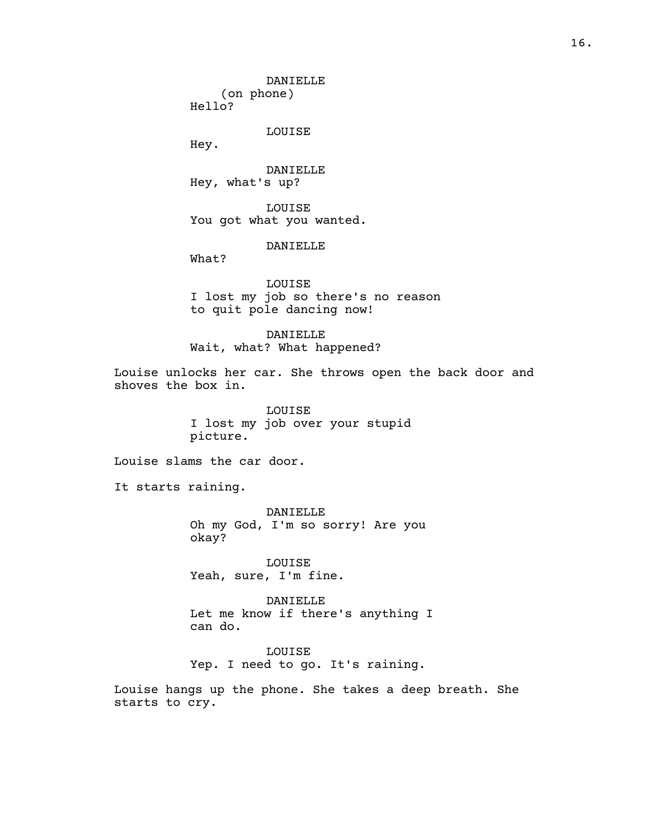DANIELLE (on phone) Hello?

LOUISE

Hey.

DANIELLE Hey, what's up?

LOUISE You got what you wanted.

DANIELLE

What?

LOUISE I lost my job so there's no reason to quit pole dancing now!

DANIELLE Wait, what? What happened?

Louise unlocks her car. She throws open the back door and shoves the box in.

> LOUISE I lost my job over your stupid picture.

Louise slams the car door.

It starts raining.

DANIELLE Oh my God, I'm so sorry! Are you okay?

LOUISE Yeah, sure, I'm fine.

DANIELLE Let me know if there's anything I can do.

LOUISE Yep. I need to go. It's raining.

Louise hangs up the phone. She takes a deep breath. She starts to cry.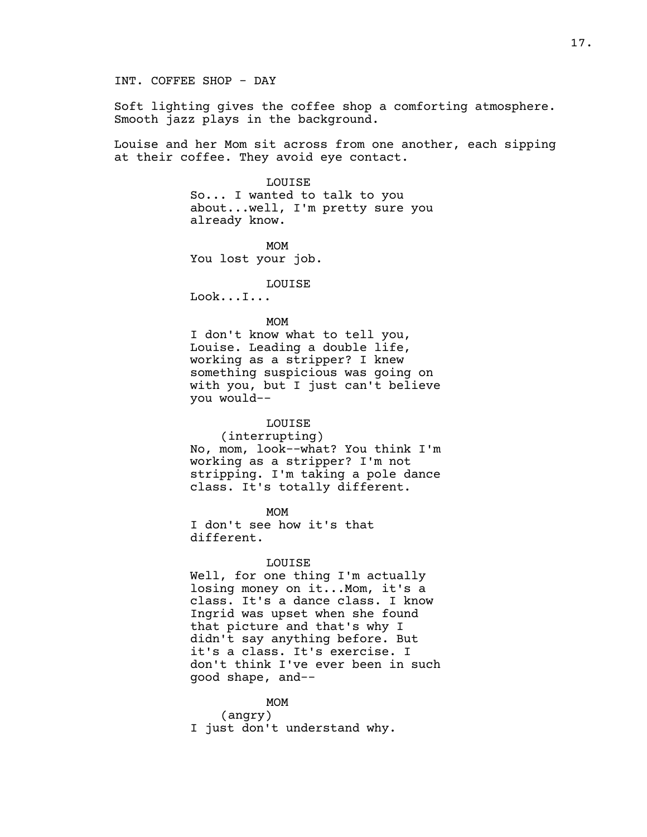Soft lighting gives the coffee shop a comforting atmosphere. Smooth jazz plays in the background.

Louise and her Mom sit across from one another, each sipping at their coffee. They avoid eye contact.

> LOUISE So... I wanted to talk to you about...well, I'm pretty sure you already know.

MOM You lost your job.

LOUISE

Look...I...

#### MOM

I don't know what to tell you, Louise. Leading a double life, working as a stripper? I knew something suspicious was going on with you, but I just can't believe you would--

## LOUISE

(interrupting) No, mom, look--what? You think I'm working as a stripper? I'm not stripping. I'm taking a pole dance class. It's totally different.

MOM I don't see how it's that different.

#### LOUISE

Well, for one thing I'm actually losing money on it...Mom, it's a class. It's a dance class. I know Ingrid was upset when she found that picture and that's why I didn't say anything before. But it's a class. It's exercise. I don't think I've ever been in such good shape, and--

## MOM

(angry) I just don't understand why.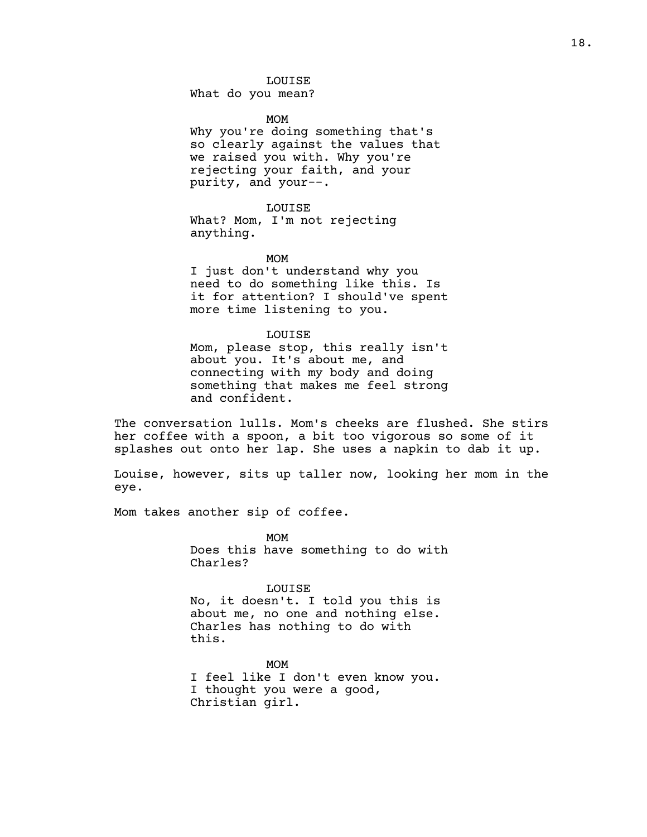## LOUISE

What do you mean?

MOM

Why you're doing something that's so clearly against the values that we raised you with. Why you're rejecting your faith, and your purity, and your--.

LOUISE

What? Mom, I'm not rejecting anything.

MOM

I just don't understand why you need to do something like this. Is it for attention? I should've spent more time listening to you.

LOUISE

Mom, please stop, this really isn't about you. It's about me, and connecting with my body and doing something that makes me feel strong and confident.

The conversation lulls. Mom's cheeks are flushed. She stirs her coffee with a spoon, a bit too vigorous so some of it splashes out onto her lap. She uses a napkin to dab it up.

Louise, however, sits up taller now, looking her mom in the eye.

Mom takes another sip of coffee.

MOM Does this have something to do with Charles?

LOUISE

No, it doesn't. I told you this is about me, no one and nothing else. Charles has nothing to do with this.

MOM I feel like I don't even know you. I thought you were a good, Christian girl.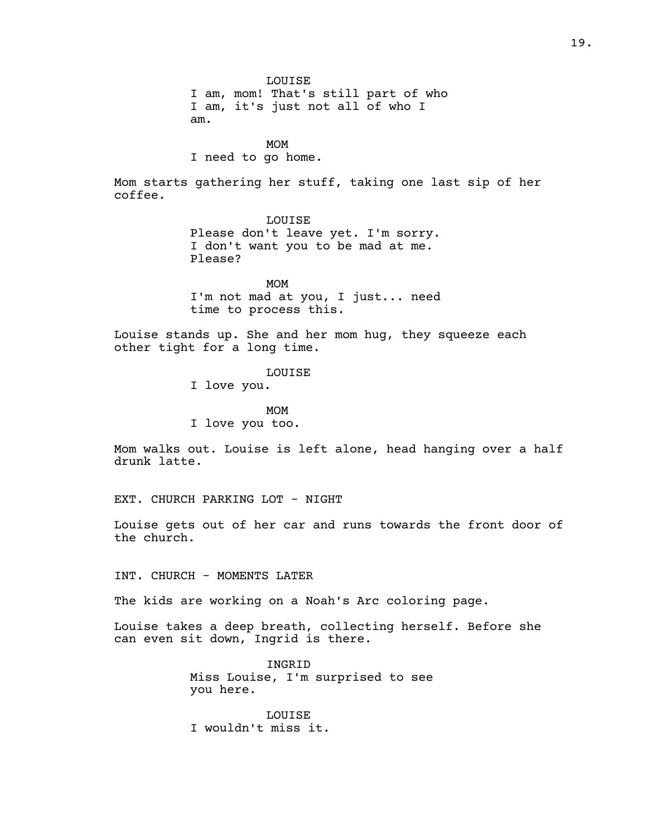19.

LOUISE I am, mom! That's still part of who I am, it's just not all of who I am.

MOM

I need to go home.

Mom starts gathering her stuff, taking one last sip of her coffee.

> LOUISE Please don't leave yet. I'm sorry. I don't want you to be mad at me. Please?

> MOM I'm not mad at you, I just... need time to process this.

Louise stands up. She and her mom hug, they squeeze each other tight for a long time.

LOUISE

I love you.

MOM I love you too.

Mom walks out. Louise is left alone, head hanging over a half drunk latte.

EXT. CHURCH PARKING LOT - NIGHT

Louise gets out of her car and runs towards the front door of the church.

INT. CHURCH - MOMENTS LATER

The kids are working on a Noah's Arc coloring page.

Louise takes a deep breath, collecting herself. Before she can even sit down, Ingrid is there.

> INGRID Miss Louise, I'm surprised to see you here.

LOUISE I wouldn't miss it.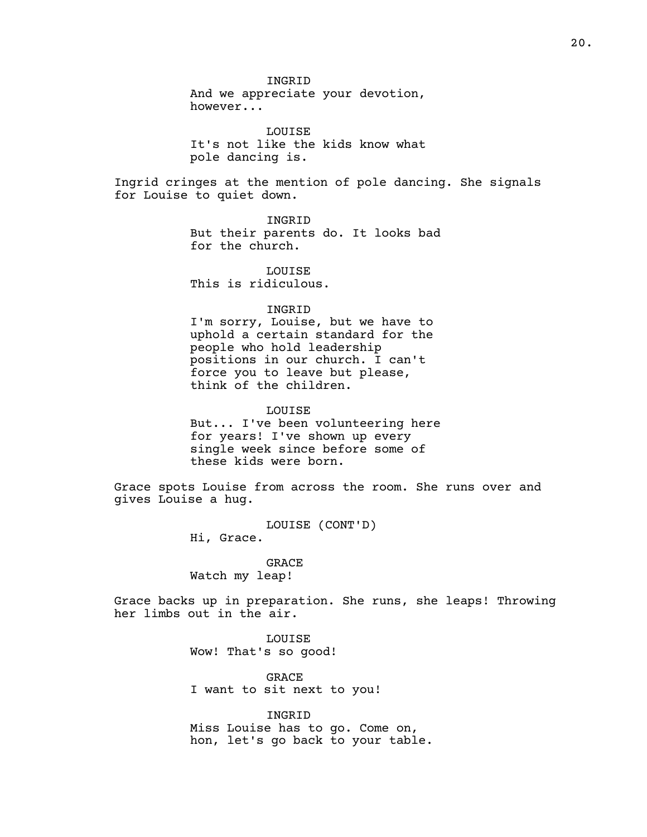And we appreciate your devotion, however...

INGRID

LOUISE It's not like the kids know what pole dancing is.

Ingrid cringes at the mention of pole dancing. She signals for Louise to quiet down.

> INGRID But their parents do. It looks bad for the church.

LOUISE This is ridiculous.

## INGRID

I'm sorry, Louise, but we have to uphold a certain standard for the people who hold leadership positions in our church. I can't force you to leave but please, think of the children.

LOUISE

But... I've been volunteering here for years! I've shown up every single week since before some of these kids were born.

Grace spots Louise from across the room. She runs over and gives Louise a hug.

> LOUISE (CONT'D) Hi, Grace.

## GRACE Watch my leap!

Grace backs up in preparation. She runs, she leaps! Throwing her limbs out in the air.

> LOUISE Wow! That's so good!

GRACE I want to sit next to you!

INGRID Miss Louise has to go. Come on, hon, let's go back to your table.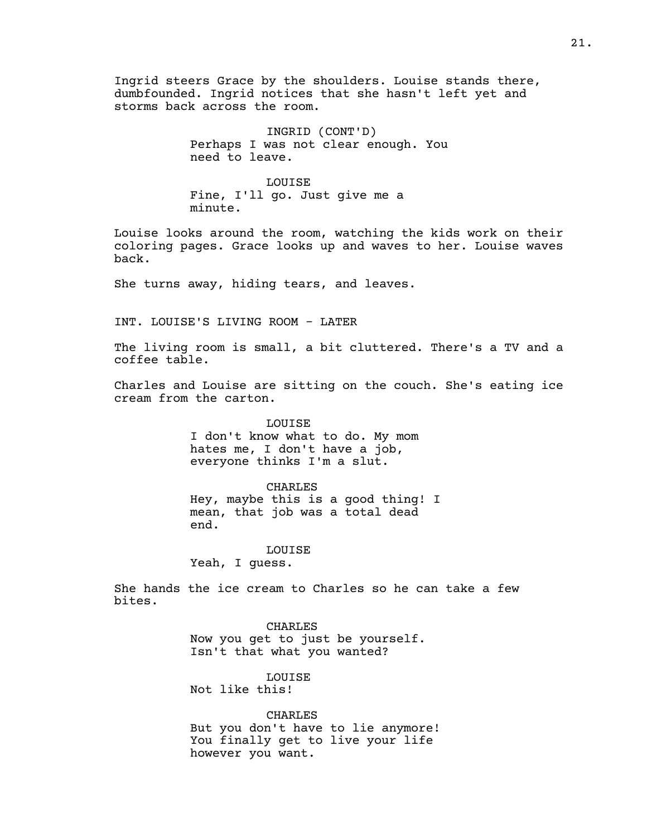Ingrid steers Grace by the shoulders. Louise stands there, dumbfounded. Ingrid notices that she hasn't left yet and storms back across the room.

> INGRID (CONT'D) Perhaps I was not clear enough. You need to leave.

LOUISE Fine, I'll go. Just give me a minute.

Louise looks around the room, watching the kids work on their coloring pages. Grace looks up and waves to her. Louise waves back.

She turns away, hiding tears, and leaves.

INT. LOUISE'S LIVING ROOM - LATER

The living room is small, a bit cluttered. There's a TV and a coffee table.

Charles and Louise are sitting on the couch. She's eating ice cream from the carton.

> LOUISE I don't know what to do. My mom hates me, I don't have a job, everyone thinks I'm a slut.

#### CHARLES

Hey, maybe this is a good thing! I mean, that job was a total dead end.

#### LOUISE

Yeah, I guess.

She hands the ice cream to Charles so he can take a few bites.

CHARLES

Now you get to just be yourself. Isn't that what you wanted?

LOUISE Not like this!

CHARLES But you don't have to lie anymore! You finally get to live your life however you want.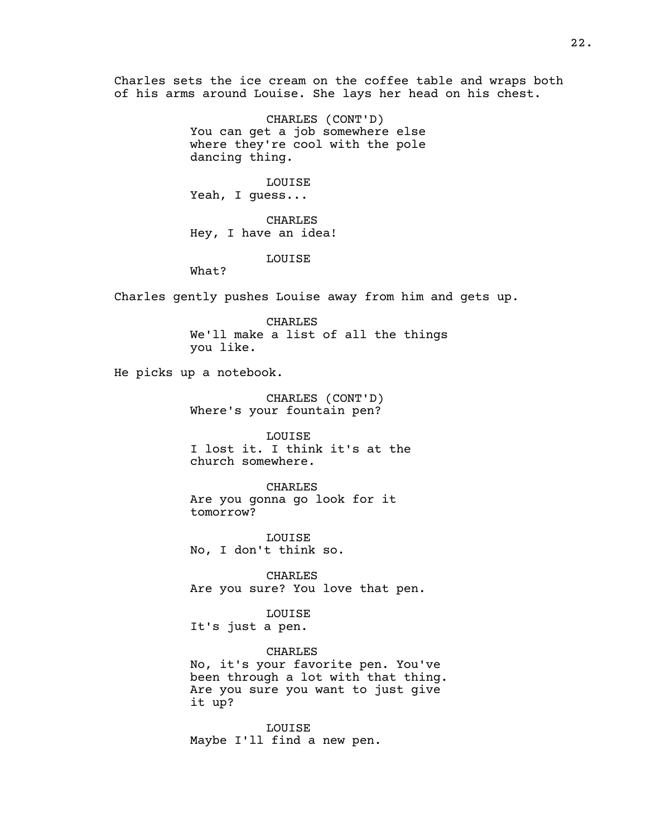Charles sets the ice cream on the coffee table and wraps both of his arms around Louise. She lays her head on his chest.

> CHARLES (CONT'D) You can get a job somewhere else where they're cool with the pole dancing thing.

LOUISE Yeah, I guess...

CHARLES Hey, I have an idea!

LOUISE

What?

Charles gently pushes Louise away from him and gets up.

CHARLES We'll make a list of all the things you like.

He picks up a notebook.

CHARLES (CONT'D) Where's your fountain pen?

LOUISE I lost it. I think it's at the church somewhere.

CHARLES Are you gonna go look for it tomorrow?

LOUISE No, I don't think so.

CHARLES Are you sure? You love that pen.

LOUISE

It's just a pen.

CHARLES

No, it's your favorite pen. You've been through a lot with that thing. Are you sure you want to just give it up?

LOUISE Maybe I'll find a new pen.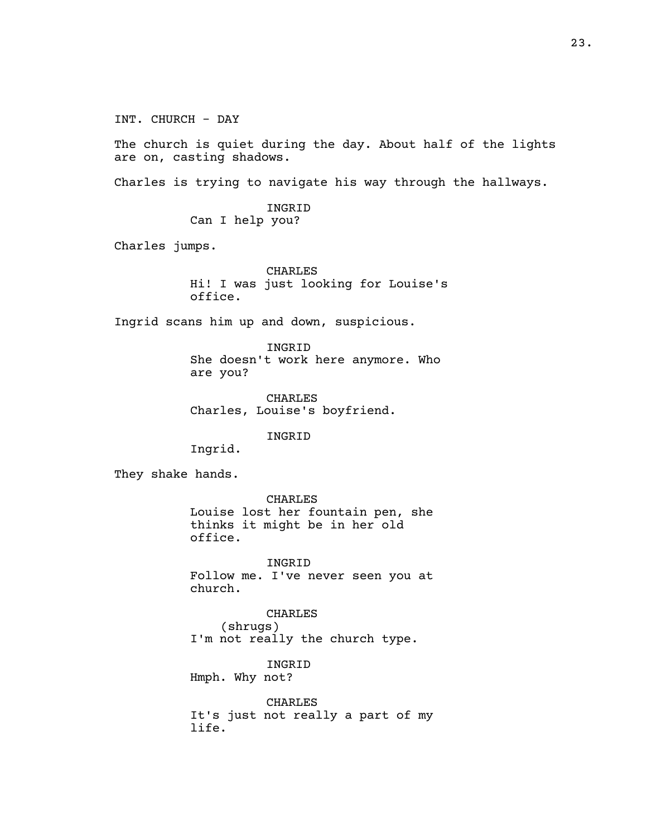INT. CHURCH - DAY The church is quiet during the day. About half of the lights are on, casting shadows. Charles is trying to navigate his way through the hallways. INGRID Can I help you? Charles jumps. CHARLES Hi! I was just looking for Louise's office. Ingrid scans him up and down, suspicious. INGRID She doesn't work here anymore. Who are you? CHARLES Charles, Louise's boyfriend. INGRID Ingrid. They shake hands. CHARLES Louise lost her fountain pen, she thinks it might be in her old office. INGRID Follow me. I've never seen you at church. CHARLES (shrugs) I'm not really the church type. INGRID Hmph. Why not? CHARLES It's just not really a part of my life.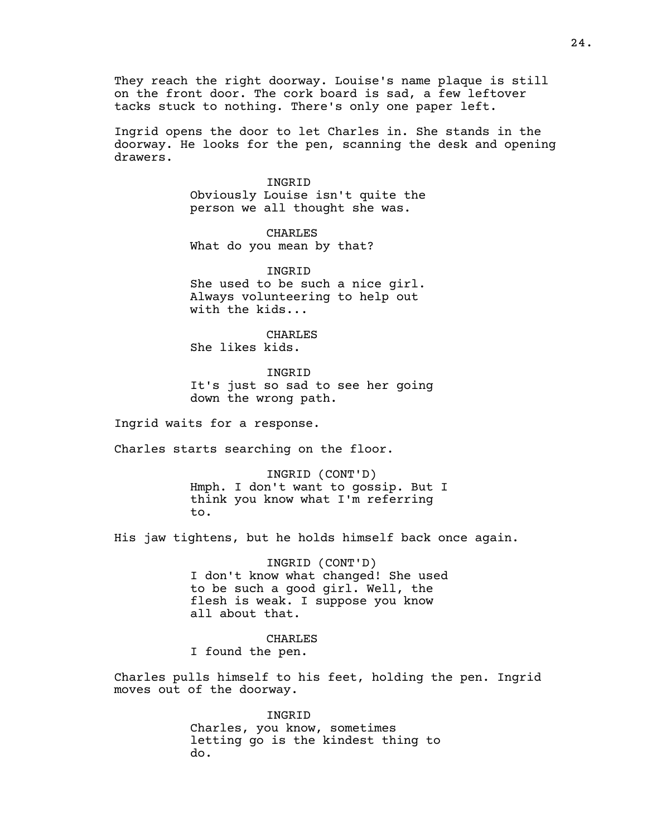They reach the right doorway. Louise's name plaque is still on the front door. The cork board is sad, a few leftover tacks stuck to nothing. There's only one paper left.

Ingrid opens the door to let Charles in. She stands in the doorway. He looks for the pen, scanning the desk and opening drawers.

> INGRID Obviously Louise isn't quite the person we all thought she was.

CHARLES What do you mean by that?

INGRID She used to be such a nice girl. Always volunteering to help out with the kids...

CHARLES She likes kids.

INGRID It's just so sad to see her going down the wrong path.

Ingrid waits for a response.

Charles starts searching on the floor.

INGRID (CONT'D) Hmph. I don't want to gossip. But I think you know what I'm referring to.

His jaw tightens, but he holds himself back once again.

INGRID (CONT'D) I don't know what changed! She used to be such a good girl. Well, the flesh is weak. I suppose you know all about that.

CHARLES I found the pen.

Charles pulls himself to his feet, holding the pen. Ingrid moves out of the doorway.

> INGRID Charles, you know, sometimes letting go is the kindest thing to do.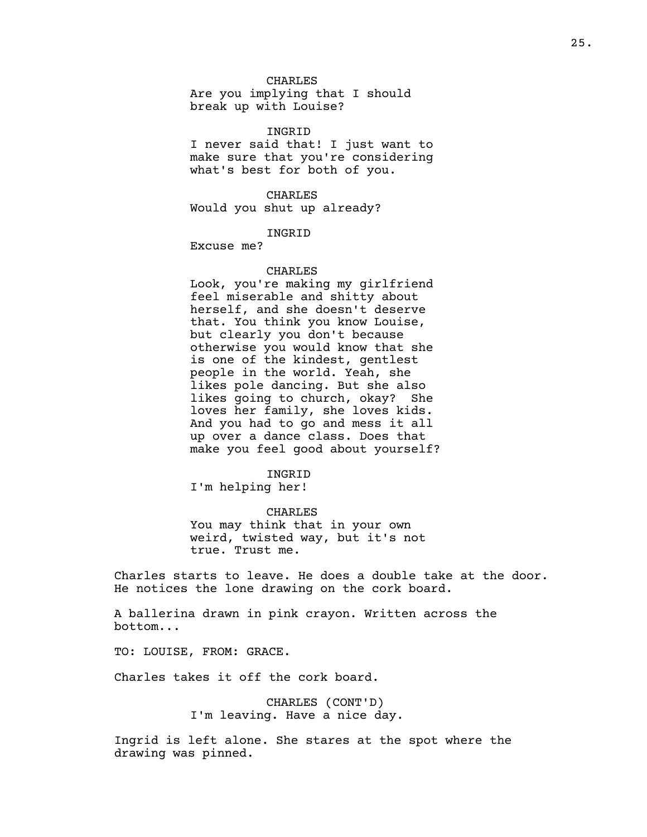## CHARLES

Are you implying that I should break up with Louise?

#### INGRID

I never said that! I just want to make sure that you're considering what's best for both of you.

CHARLES Would you shut up already?

#### INGRID

Excuse me?

### CHARLES

Look, you're making my girlfriend feel miserable and shitty about herself, and she doesn't deserve that. You think you know Louise, but clearly you don't because otherwise you would know that she is one of the kindest, gentlest people in the world. Yeah, she likes pole dancing. But she also likes going to church, okay? She loves her family, she loves kids. And you had to go and mess it all up over a dance class. Does that make you feel good about yourself?

#### INGRID

I'm helping her!

CHARLES You may think that in your own weird, twisted way, but it's not true. Trust me.

Charles starts to leave. He does a double take at the door. He notices the lone drawing on the cork board.

A ballerina drawn in pink crayon. Written across the bottom...

TO: LOUISE, FROM: GRACE.

Charles takes it off the cork board.

CHARLES (CONT'D) I'm leaving. Have a nice day.

Ingrid is left alone. She stares at the spot where the drawing was pinned.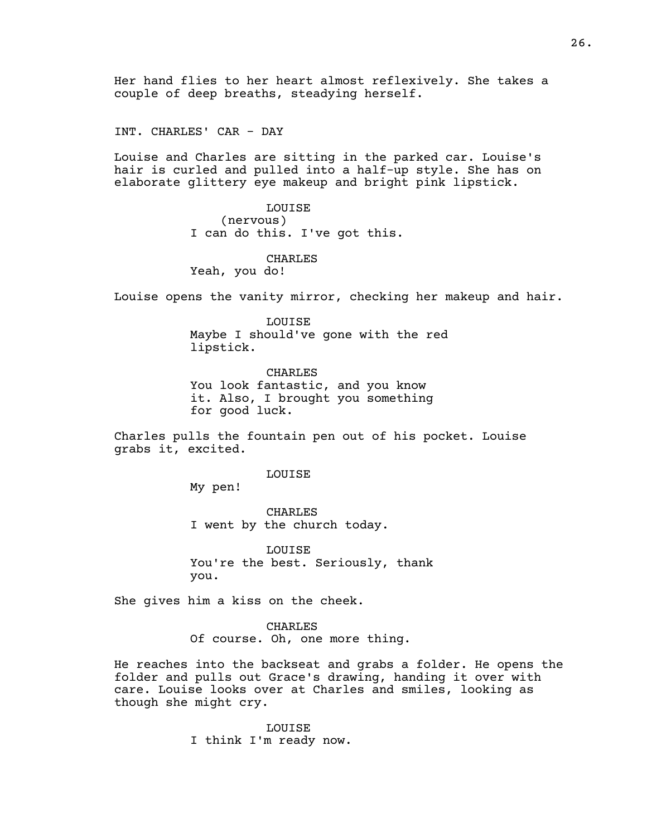Her hand flies to her heart almost reflexively. She takes a couple of deep breaths, steadying herself.

INT. CHARLES' CAR - DAY

Louise and Charles are sitting in the parked car. Louise's hair is curled and pulled into a half-up style. She has on elaborate glittery eye makeup and bright pink lipstick.

> LOUISE (nervous) I can do this. I've got this.

#### CHARLES

Yeah, you do!

Louise opens the vanity mirror, checking her makeup and hair.

LOUISE Maybe I should've gone with the red lipstick.

CHARLES You look fantastic, and you know it. Also, I brought you something for good luck.

Charles pulls the fountain pen out of his pocket. Louise grabs it, excited.

LOUISE

My pen!

CHARLES I went by the church today.

LOUISE You're the best. Seriously, thank you.

She gives him a kiss on the cheek.

CHARLES Of course. Oh, one more thing.

He reaches into the backseat and grabs a folder. He opens the folder and pulls out Grace's drawing, handing it over with care. Louise looks over at Charles and smiles, looking as though she might cry.

> LOUISE I think I'm ready now.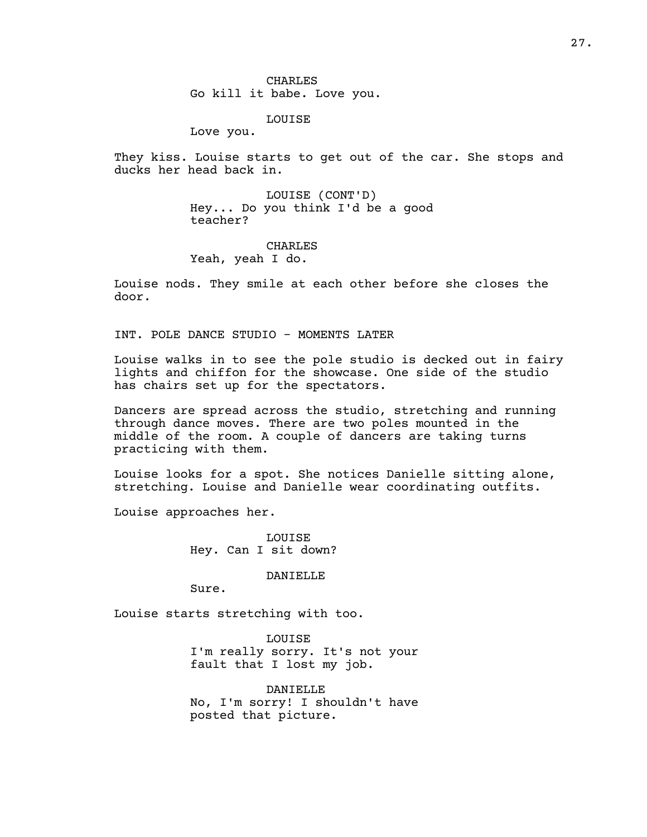CHARLES Go kill it babe. Love you.

LOUISE

Love you.

They kiss. Louise starts to get out of the car. She stops and ducks her head back in.

> LOUISE (CONT'D) Hey... Do you think I'd be a good teacher?

## CHARLES Yeah, yeah I do.

Louise nods. They smile at each other before she closes the door.

INT. POLE DANCE STUDIO - MOMENTS LATER

Louise walks in to see the pole studio is decked out in fairy lights and chiffon for the showcase. One side of the studio has chairs set up for the spectators.

Dancers are spread across the studio, stretching and running through dance moves. There are two poles mounted in the middle of the room. A couple of dancers are taking turns practicing with them.

Louise looks for a spot. She notices Danielle sitting alone, stretching. Louise and Danielle wear coordinating outfits.

Louise approaches her.

LOUISE Hey. Can I sit down?

DANIELLE

Sure.

Louise starts stretching with too.

LOUISE I'm really sorry. It's not your fault that I lost my job.

DANIELLE No, I'm sorry! I shouldn't have posted that picture.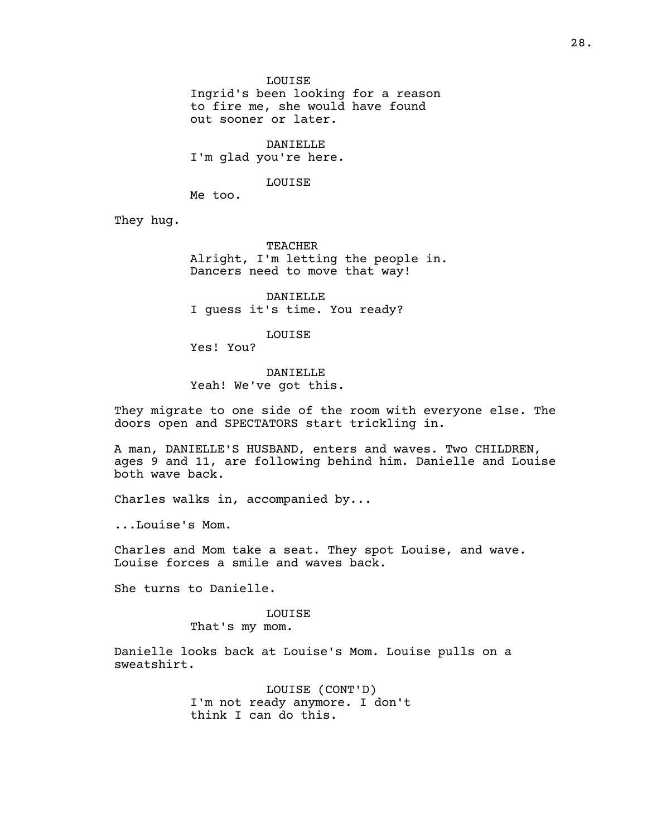LOUISE

Ingrid's been looking for a reason to fire me, she would have found out sooner or later.

DANIELLE I'm glad you're here.

LOUISE

Me too.

They hug.

TEACHER Alright, I'm letting the people in. Dancers need to move that way!

DANIELLE I guess it's time. You ready?

LOUISE

Yes! You?

DANIELLE Yeah! We've got this.

They migrate to one side of the room with everyone else. The doors open and SPECTATORS start trickling in.

A man, DANIELLE'S HUSBAND, enters and waves. Two CHILDREN, ages 9 and 11, are following behind him. Danielle and Louise both wave back.

Charles walks in, accompanied by...

...Louise's Mom.

Charles and Mom take a seat. They spot Louise, and wave. Louise forces a smile and waves back.

She turns to Danielle.

## LOUISE

That's my mom.

Danielle looks back at Louise's Mom. Louise pulls on a sweatshirt.

> LOUISE (CONT'D) I'm not ready anymore. I don't think I can do this.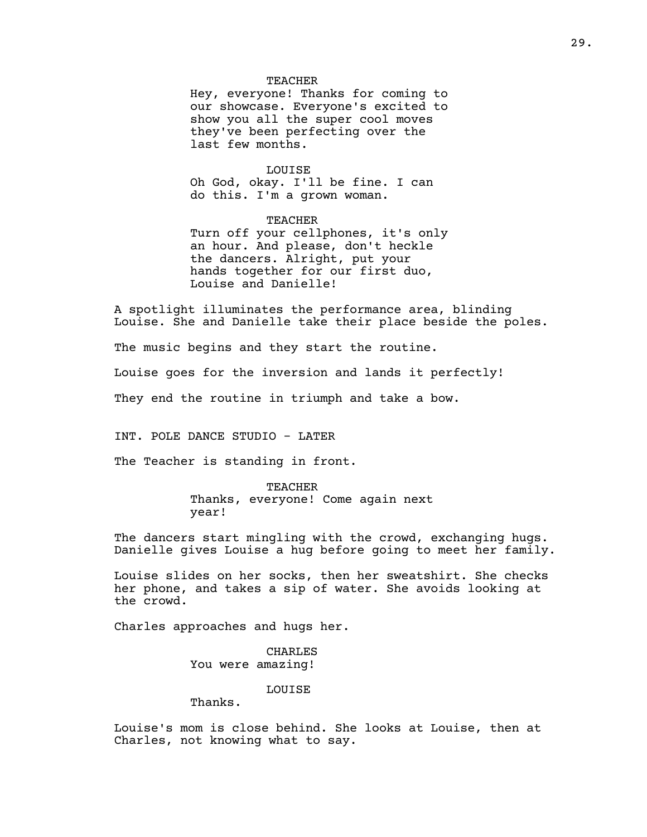#### TEACHER

Hey, everyone! Thanks for coming to our showcase. Everyone's excited to show you all the super cool moves they've been perfecting over the last few months.

## LOUISE

Oh God, okay. I'll be fine. I can do this. I'm a grown woman.

## TEACHER

Turn off your cellphones, it's only an hour. And please, don't heckle the dancers. Alright, put your hands together for our first duo, Louise and Danielle!

A spotlight illuminates the performance area, blinding Louise. She and Danielle take their place beside the poles.

The music begins and they start the routine.

Louise goes for the inversion and lands it perfectly!

They end the routine in triumph and take a bow.

INT. POLE DANCE STUDIO - LATER

The Teacher is standing in front.

TEACHER Thanks, everyone! Come again next year!

The dancers start mingling with the crowd, exchanging hugs. Danielle gives Louise a hug before going to meet her family.

Louise slides on her socks, then her sweatshirt. She checks her phone, and takes a sip of water. She avoids looking at the crowd.

Charles approaches and hugs her.

CHARLES You were amazing!

## LOUISE

Thanks.

Louise's mom is close behind. She looks at Louise, then at Charles, not knowing what to say.